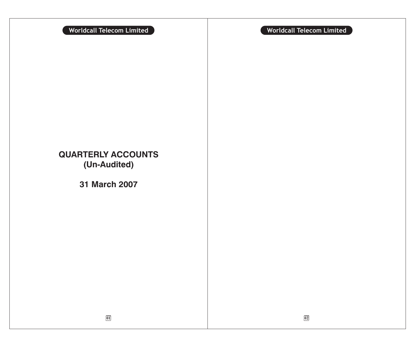**QUARTERLY ACCOUNTS (Un-Audited)**

**31 March 2007**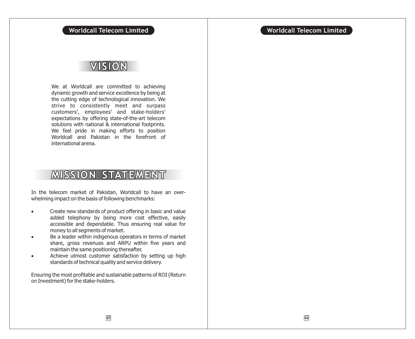# VISION

We at Worldcall are committed to achieving dynamic growth and service excellence by being at the cutting edge of technological innovation. We strive to consistently meet and surpass customers', employees' and stake-holders' expectations by offering state-of-the-art telecom solutions with national & international footprints. We feel pride in making efforts to position Worldcall and Pakistan in the forefront of international arena.

# **MISSION STATEMENT**

In the telecom market of Pakistan, Worldcall to have an overwhelming impact on the basis of following benchmarks:

> Create new standards of product offering in basic and value added telephony by being more cost effective, easily accessible and dependable. Thus ensuring real value for money to all segments of market.

> Be a leader within indigenous operators in terms of market share, gross revenues and ARPU within five years and maintain the same positioning thereafter.

> Achieve utmost customer satisfaction by setting up high standards of technical quality and service delivery.

Ensuring the most profitable and sustainable patterns of ROI (Return on Investment) for the stake-holders.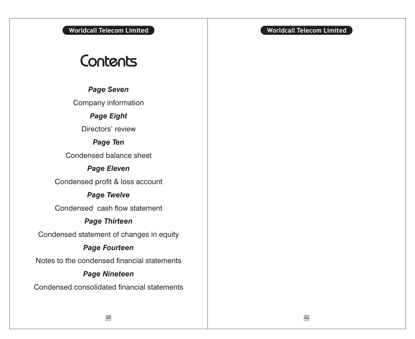# Contents

*Page Seven*

Company information

*Page Eight*

Directors' review

*Page Ten*

Condensed balance sheet

# *Page Eleven*

Condensed profit & loss account

# *Page Twelve*

Condensed cash flow statement

# *Page Thirteen*

Condensed statement of changes in equity

# *Page Fourteen*

Notes to the condensed financial statements

# *Page Nineteen*

Condensed consolidated financial statements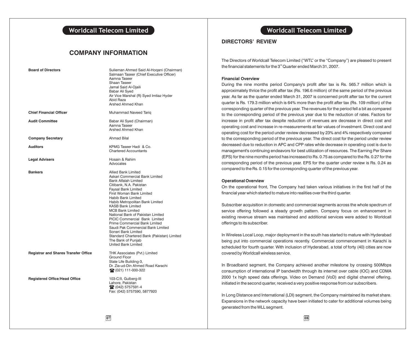## **COMPANY INFORMATION**

| <b>Board of Directors</b>                   | Sulieman Ahmed Said Al-Hogani (Chairman)<br>Salmaan Taseer (Chief Executive Officer)<br>Aamna Taseer<br>Shaan Taseer<br>Jamal Said Al-Ojaili<br>Babar Ali Syed<br>Air Vice Marshal (R) Syed Imtiaz Hyder<br>Abid Raza<br>Arshed Ahmed Khan                                                                                                                                                                                                                                                                                                                            |
|---------------------------------------------|-----------------------------------------------------------------------------------------------------------------------------------------------------------------------------------------------------------------------------------------------------------------------------------------------------------------------------------------------------------------------------------------------------------------------------------------------------------------------------------------------------------------------------------------------------------------------|
| <b>Chief Financial Officer</b>              | Muhammad Naveed Tariq                                                                                                                                                                                                                                                                                                                                                                                                                                                                                                                                                 |
| <b>Audit Committee</b>                      | Babar Ali Syed (Chairman)<br>Aamna Taseer<br>Arshed Ahmed Khan                                                                                                                                                                                                                                                                                                                                                                                                                                                                                                        |
| <b>Company Secretary</b>                    | <b>Ahmad Bilal</b>                                                                                                                                                                                                                                                                                                                                                                                                                                                                                                                                                    |
| <b>Auditors</b>                             | KPMG Taseer Hadi & Co.<br><b>Chartered Accountants</b>                                                                                                                                                                                                                                                                                                                                                                                                                                                                                                                |
| <b>Legal Advisers</b>                       | Hosain & Rahim<br>Advocates                                                                                                                                                                                                                                                                                                                                                                                                                                                                                                                                           |
| <b>Bankers</b>                              | Allied Bank Limited<br>Askari Commercial Bank Limited<br><b>Bank Alfalah Limited</b><br>Citibank, N.A. Pakistan<br>Faysal Bank Limited<br>First Woman Bank Limited<br><b>Habib Bank Limited</b><br>Habib Metropolitan Bank Limited<br><b>KASB Bank Limited</b><br><b>MCB Bank Limited</b><br>National Bank of Pakistan Limited<br><b>PICIC Commercial Bank Limited</b><br>Prime Commercial Bank Limited<br>Saudi Pak Commercial Bank Limited<br>Soneri Bank Limited<br>Standard Chartered Bank (Pakistan) Limited<br>The Bank of Punjab<br><b>United Bank Limited</b> |
| <b>Registrar and Shares Transfer Office</b> | THK Associates (Pvt.) Limited<br>Ground Floor<br>State Life Building-3,<br>Dr. Zia-ud-Din Ahmed Road Karachi<br>22 (021) 111-000-322                                                                                                                                                                                                                                                                                                                                                                                                                                  |
| <b>Registered Office/Head Office</b>        | 103-C/II, Gulberg-III<br>Lahore, Pakistan<br>2 (042) 5757591-4<br>Fax: (042) 5757590, 5877920                                                                                                                                                                                                                                                                                                                                                                                                                                                                         |

# **Worldcall Telecom Limited Worldcall Telecom Limited**

## **DIRECTORS' REVIEW**

The Directors of Worldcall Telecom Limited ("WTL" or the "Company") are pleased to present the financial statements for the  $3<sup>rd</sup>$  Quarter ended March 31, 2007.

### **Financial Overview**

During the nine months period Company's profit after tax is Rs. 565.7 million which is approximately thrice the profit after tax (Rs. 196.6 million) of the same period of the previous year. As far as the quarter ended March 31, 2007 is concerned profit after tax for the current quarter is Rs. 179.3 million which is 64% more than the profit after tax (Rs. 109 million) of the corresponding quarter of the previous year. The revenues for the period fell a bit as compared to the corresponding period of the previous year due to the reduction of rates. Factors for increase in profit after tax despite reduction of revenues are decrease in direct cost and operating cost and increase in re-measurements at fair values of investment. Direct cost and operating cost for the period under review decreased by 23% and 4% respectively compared to the corresponding period of the previous year. The direct cost for the period under review decreased due to reduction in APC and CPP rates while decrease in operating cost is due to management's continuing endeavors for best utilization of resources. The Earning Per Share (EPS) for the nine months period has increased to Rs. 0.75 as compared to the Rs. 0.27 for the corresponding period of the previous year. EPS for the quarter under review is Rs. 0.24 as compared to the Rs. 0.15 for the corresponding quarter of the previous year.

### **Operational Overview**

On the operational front, The Company had taken various initiatives in the first half of the financial year which started to mature into realities over the third quarter.

Subscriber acquisition in domestic and commercial segments across the whole spectrum of service offering followed a steady growth pattern. Company focus on enhancement in existing revenue stream was maintained and additional services were added to Worldcall offerings to its subscriber.

In Wireless Local Loop, major deployment in the south has started to mature with Hyderabad being put into commercial operations recently. Commercial commencement in Karachi is scheduled for fourth quarter. With inclusion of Hyderabad, a total of forty (40) cities are now covered by Worldcall wireless service.

In Broadband segment, the Company achieved another milestone by crossing 500Mbps consumption of international IP bandwidth through its internet over cable (IOC) and CDMA 2000 1x high speed data offerings. Video on Demand (VoD) and digital channel offering, initiated in the second quarter, received a very positive response from our subscribers.

In Long Distance and International (LDI) segment, the Company maintained its market share. Expansions in the network capacity have been initiated to cater for additional volumes being generated from the WLL segment.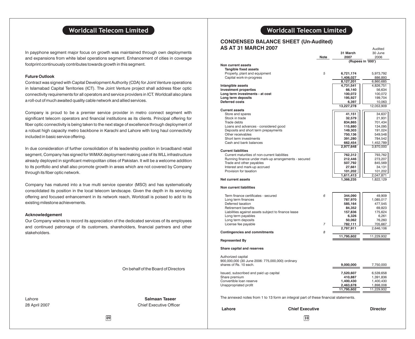In payphone segment major focus on growth was maintained through own deployments and expansions from white label operations segment. Enhancement of cities in coverage footprint continuously contributes towards growth in this segment.

### **Future Outlook**

Contract was signed with Capital Development Authority (CDA) for Joint Venture operations in Islamabad Capital Territories (ICT). The Joint Venture project shall address fiber optic connectivity requirements for all operators and service providers in ICT. Worldcall also plans a roll-out of much awaited quality cable network and allied services.

Company is proud to be a premier service provider in metro connect segment with significant telecom operators and financial institutions as its clients. Principal offering for fiber optic connectivity is being taken to the next stage of excellence through deployment of a robust high capacity metro backbone in Karachi and Lahore with long haul connectivity included in basic service offering.

In due consideration of further consolidation of its leadership position in broadband retail segment, Company has signed for WiMAX deployment making use of its WLL infrastructure already deployed in significant metropolitan cities of Pakistan. It will be a welcome addition to its portfolio and shall also promote growth in areas which are not covered by Company through its fiber optic network.

Company has matured into a true multi service operator (MSO) and has systematically consolidated its position in the local telecom landscape. Given the depth in its servicing offering and focused enhancement in its network reach, Worldcall is poised to add to its existing milestone achievements.

### **Acknowledgement**

Our Company wishes to record its appreciation of the dedicated services of its employees and continued patronage of its customers, shareholders, financial partners and other stakeholders.

On behalf of the Board of Directors

Lahore **Salmaan Taseer** 28 April 2007 **Chief Executive Officer** 

**31 March** 30 June

Audited

### **CONDENSED BALANCE SHEET (Un-Audited) AS AT 31 MARCH 2007**

|                                                                                     |                | ا انا الله ال     | ou Julie   |
|-------------------------------------------------------------------------------------|----------------|-------------------|------------|
|                                                                                     | Note           | 2007              | 2006       |
|                                                                                     |                | (Rupees in '000') |            |
| Non current assets                                                                  |                |                   |            |
| <b>Tangible fixed assets</b>                                                        |                |                   |            |
|                                                                                     |                |                   |            |
| Property, plant and equipment                                                       | 5              | 6,721,174         | 5,973,792  |
| Capital work-in-progress                                                            |                | 1,406,027         | 886,893    |
|                                                                                     |                | 8,127,201         | 6,860,685  |
| Intangible assets                                                                   |                | 4,731,541         | 4,826,751  |
| <b>Investment properties</b>                                                        |                | 66,140            | 56,634     |
| Long term investments - at cost                                                     |                |                   |            |
|                                                                                     |                | 100,072           | 100,072    |
| Long term deposits                                                                  |                | 195,927           | 199,704    |
| <b>Deferred costs</b>                                                               |                | 6,397             | 10,063     |
|                                                                                     |                | 13,227,278        | 12,053,909 |
| <b>Current assets</b>                                                               |                |                   |            |
| Store and spares                                                                    |                | 41,151            | 34,637     |
| Stock in trade                                                                      |                |                   |            |
|                                                                                     |                | 32,579            | 21,931     |
| Trade debts                                                                         |                | 834,865           | 701,434    |
| Loans and advances - considered good                                                |                | 115,880           | 134,095    |
| Deposits and short term prepayments                                                 |                | 149,303           | 191,024    |
| Other receivables                                                                   |                | 750,136           | 549,548    |
| Short term investments                                                              |                | 391,280           | 784,542    |
|                                                                                     |                |                   |            |
| Cash and bank balances                                                              |                | 662,454           | 1,452,789  |
|                                                                                     |                | 2,977,648         | 3,870,000  |
| <b>Current liabilities</b>                                                          |                |                   |            |
| Current maturities of non-current liabilities                                       |                | 762,312           | 793,762    |
| Running finance under mark-up arrangements - secured                                |                | 212,446           | 273,207    |
|                                                                                     |                |                   | 845,569    |
| Trade and other payables                                                            |                | 507,792           |            |
| Interest and mark-up accrued                                                        |                | 27,661            | 34,131     |
| Provision for taxation                                                              |                | 101,202           | 101,202    |
|                                                                                     |                | 1,611,413         | 2,047,871  |
| <b>Net current assets</b>                                                           |                | 1,366,235         | 1,822,129  |
|                                                                                     |                |                   |            |
| <b>Non current liabilities</b>                                                      |                |                   |            |
|                                                                                     |                |                   |            |
|                                                                                     |                |                   |            |
| Term finance certificates - secured                                                 | 6              | 344,090           | 49,909     |
| Long term finances                                                                  |                | 787,970           | 1,085,017  |
| Deferred taxation                                                                   |                | 585,164           | 477,545    |
| <b>Retirement benefits</b>                                                          |                | 84,352            | 69,823     |
| Liabilities against assets subject to finance lease                                 |                | 157,836           | 175,624    |
|                                                                                     |                |                   |            |
| Long term payables                                                                  |                | 6,326             | 6,261      |
| Long term deposits                                                                  |                | 50,062            | 76,260     |
| License fee payable                                                                 | $\overline{7}$ | 782,111           | 705,667    |
|                                                                                     |                | 2,797,911         | 2,646,106  |
| <b>Contingencies and commitments</b>                                                | 8              |                   |            |
|                                                                                     |                | 11,795,602        | 11,229,932 |
| <b>Represented By</b>                                                               |                |                   |            |
|                                                                                     |                |                   |            |
|                                                                                     |                |                   |            |
| Share capital and reserves                                                          |                |                   |            |
|                                                                                     |                |                   |            |
| Authorized capital                                                                  |                |                   |            |
| 900,000,000 (30 June 2006: 775,000,000) ordinary                                    |                |                   |            |
| shares of Rs. 10 each.                                                              |                | 9,000,000         | 7,750,000  |
|                                                                                     |                |                   |            |
|                                                                                     |                |                   |            |
| Issued, subscribed and paid up capital                                              |                | 7,520,607         | 6,539,658  |
| Share premium                                                                       |                | 410,887           | 1,391,836  |
| Convertible loan reserve                                                            |                | 1,400,430         | 1,400,430  |
| Unappropriated profit                                                               |                | 2,463,678         | 1,898,008  |
|                                                                                     |                | 11,795,602        | 11,229,932 |
|                                                                                     |                |                   |            |
| The annexed notes from 1 to 13 form an integral part of these financial statements. |                |                   |            |
|                                                                                     |                |                   |            |

The annexed notes from 1 to 13 form an integral part of these financial statements.

**Lahore Chief Executive Director**

**09 10**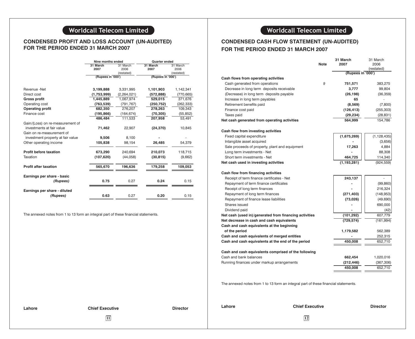# **CONDENSED PROFIT AND LOSS ACCOUNT (UN-AUDITED) FOR THE PERIOD ENDED 31 MARCH 2007**

|                                   | Nine months ended |             | <b>Quarter ended</b> |            |
|-----------------------------------|-------------------|-------------|----------------------|------------|
|                                   | 31 March          | 31 March    | 31 March             | 31 March   |
|                                   | 2007              | 2006        | 2007                 | 2006       |
|                                   |                   | (restated)  |                      | (restated) |
|                                   | (Rupees in '000') |             | (Rupees in '000')    |            |
|                                   |                   |             |                      |            |
| Revenue -Net                      | 3,199,888         | 3,331,995   | 1,101,903            | 1,142,341  |
| Direct cost                       | (1,753,999)       | (2,264,021) | (572, 888)           | (770, 665) |
| <b>Gross profit</b>               | 1,445,889         | 1,067,974   | 529,015              | 371,676    |
| Operating cost                    | (763, 539)        | (791, 767)  | (250, 752)           | (262, 333) |
| <b>Operating profit</b>           | 682,350           | 276,207     | 278,263              | 109,343    |
| Finance cost                      | (195, 866)        | (164, 674)  | (70, 305)            | (55, 852)  |
|                                   | 486,484           | 111,533     | 207,958              | 53,491     |
| Gain/(Loss) on re-measurement of  |                   |             |                      |            |
| investments at fair value         | 71,462            | 22,907      | (24, 370)            | 10,845     |
| Gain on re-measurement of         |                   |             |                      |            |
| investment property at fair value | 9,506             | 8,100       |                      |            |
| Other operating income            | 105,838           | 98,154      | 26,485               | 54,379     |
|                                   |                   |             |                      |            |
| <b>Profit before taxation</b>     | 673,290           | 240.694     | 210,073              | 118,715    |
| Taxation                          | (107, 620)        | (44, 058)   | (30, 815)            | (9,662)    |
|                                   |                   |             |                      |            |
| <b>Profit after taxation</b>      | 565,670           | 196,636     | 179,258              | 109,053    |
|                                   |                   |             |                      |            |
| Earnings per share - basic        |                   |             |                      |            |
| (Rupees)                          | 0.75              | 0.27        | 0.24                 | 0.15       |
|                                   |                   |             |                      |            |
| Earnings per share - diluted      |                   |             |                      |            |
| (Rupees)                          | 0.63              | 0.27        | 0.20                 | 0.15       |

The annexed notes from 1 to 13 form an integral part of these financial statements.

# **CONDENSED CASH FLOW STATEMENT (UN-AUDITED) FOR THE PERIOD ENDED 31 MARCH 2007**

|                                                        | <b>Note</b> | 31 March<br>2007  | 31 March<br>2006 |
|--------------------------------------------------------|-------------|-------------------|------------------|
|                                                        |             |                   | (restated)       |
|                                                        |             | (Rupees in '000') |                  |
| Cash flows from operating activities                   |             |                   |                  |
| Cash generated from operations                         | 9           | 751,571           | 383,275          |
| Decrease in long term deposits receivable              |             | 3,777             | 99,804           |
| (Decrease) in long term deposits payable               |             | (26, 198)         | (36, 359)        |
| Increase in long term payables                         |             | 65                |                  |
| Retirement benefits paid                               |             | (8, 569)          | (7,800)          |
| Finance cost paid                                      |             | (126, 413)        | (255, 303)       |
| Taxes paid                                             |             | (29, 234)         | (28, 831)        |
| Net cash generated from operating activities           |             | 564,999           | 154,786          |
| Cash flow from investing activities                    |             |                   |                  |
| Fixed capital expenditure                              |             | (1,675,269)       | (1, 128, 435)    |
| Intangible asset acquired                              |             |                   | (3,656)          |
| Sale proceeds of property, plant and equipment         |             | 17,263            | 4,884            |
| Long term investments - Net                            |             |                   | 88,308           |
| Short term investments - Net                           |             | 464,725           | 114,340          |
| Net cash used in investing activities                  |             | (1, 193, 281)     | (924, 559)       |
| Cash flow from financing activities                    |             |                   |                  |
| Receipt of term finance certificates - Net             |             | 243,137           |                  |
| Repayment of term finance certificates                 |             |                   | (99, 860)        |
| Receipt of long term finances                          |             |                   | 216,324          |
| Repayment of long term finances                        |             | (271, 403)        | (148, 953)       |
| Repayment of finance lease liabilities                 |             | (73, 026)         | (49, 690)        |
| Shares issued                                          |             |                   | 690,000          |
| Dividend paid                                          |             |                   | (42)             |
| Net cash (used in)/generated from financing activities |             | (101, 292)        | 607,779          |
| Net decrease in cash and cash equivalents              |             | (729, 574)        | (161, 994)       |
| Cash and cash equivalents at the beginning             |             |                   |                  |
| of the period                                          |             | 1,179,582         | 562,389          |
| Cash and cash equivalents of merged entities           |             |                   | 252,315          |
| Cash and cash equivalents at the end of the period     |             | 450,008           | 652,710          |
| Cash and cash equivalents comprised of the following   |             |                   |                  |
| Cash and bank balances                                 |             | 662,454           | 1,020,016        |
| Running finances under markup arrangements             |             | (212, 446)        | (367,306)        |
|                                                        |             | 450,008           | 652,710          |
|                                                        |             |                   |                  |

The annexed notes from 1 to 13 form an integral part of these financial statements.

| Lahore |  |
|--------|--|
|--------|--|

**11 12**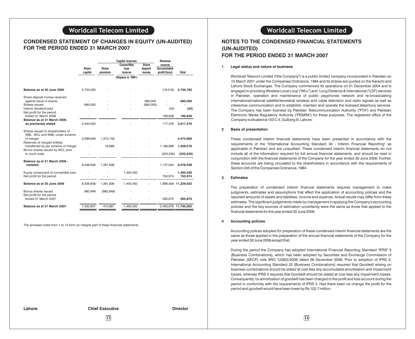## **CONDENSED STATEMENT OF CHANGES IN EQUITY (UN-AUDITED) FOR THE PERIOD ENDED 31 MARCH 2007**

|                                                                    |              |              | <b>Capital reserves</b>    |                          | Revenue                       |                      |
|--------------------------------------------------------------------|--------------|--------------|----------------------------|--------------------------|-------------------------------|----------------------|
|                                                                    | <b>Share</b> | <b>Share</b> | <b>Convertible</b><br>loan | <b>Share</b><br>deposit  | reserve<br><b>Accumulated</b> |                      |
|                                                                    | capital      | premium      | reserve                    | money                    | profit/(loss)                 | <b>Total</b>         |
|                                                                    |              |              | (Rupees in '000')          |                          |                               |                      |
|                                                                    |              |              |                            |                          |                               |                      |
| Balance as at 30 June 2005                                         | 2,750,000    |              |                            |                          | (19,218)                      | 2,730,782            |
| Share deposit money received                                       |              |              |                            |                          |                               |                      |
| against issue of shares<br>Shares issued                           | 690.000      |              |                            | 690,000<br>(690,000)     |                               | 690,000              |
| Interim dividend paid                                              |              |              |                            |                          | (42)                          | (42)                 |
| Net profit for the period                                          |              |              |                            |                          |                               |                      |
| ended 31 March 2006                                                |              |              |                            |                          | 196.636                       | 196,636              |
| Balance as at 31 March 2006<br>as previously stated                | 3,440,000    |              |                            |                          | 177,376                       | 3,617,376            |
| Shares issued to shareholders of<br>WBL, WCL and WML under scheme  |              |              |                            |                          |                               |                      |
| of merger                                                          | 3,099,658    | 1,373,148    |                            |                          |                               | 4,472,806            |
| Reserves of merged entities<br>transferred as per scheme of merger |              | 18,688       |                            |                          | 1,189,888                     | 1,208,576            |
| Bonus shares issued by WCL prior<br>to court order                 |              |              |                            |                          | (220, 230)                    | (220, 230)           |
| Balance as at 31 March 2006 -<br>restated                          | 6,539,658    | 1,391,836    |                            |                          | 1,147,034                     | 9,078,528            |
| Equity component of convertible loan<br>Net profit for the period  |              |              | 1,400,430                  | $\overline{\phantom{a}}$ | 750,974                       | 1,400,430<br>750,974 |
| Balance as at 30 June 2006                                         | 6,539,658    | 1,391,836    | 1,400,430                  |                          |                               | 1,898,008 11,229,932 |
| Bonus shares issued                                                | 980,949      | (980, 949)   |                            |                          |                               |                      |
| Net profit for the period<br>ended 31 March 2007                   |              |              |                            |                          | 565,670                       | 565,670              |
| Balance as at 31 March 2007                                        | 7,520,607    | 410,887      | 1,400,430                  |                          |                               | 2,463,678 11,795,602 |

The annexed notes from 1 to 13 form an integral part of these financial statements.

# **NOTES TO THE CONDENSED FINANCIAL STATEMENTS (UN-AUDITED) FOR THE PERIOD ENDED 31 MARCH 2007**

### **1 Legal status and nature of business**

Worldcall Telecom Limited ("the Company") is a public limited company incorporated in Pakistan on 15 March 2001 under the Companies Ordinance, 1984 and its shares are quoted on the Karachi and Lahore Stock Exchanges. The Company commenced its operations on 01 December 2004 and is engaged in providing Wireless Local Loop ("WLL") and Long Distance & International ("LDI") services in Pakistan, operation and maintenance of public payphones network and re-broadcasting international/national satellite/terrestrial wireless and cable television and radio signals as well as interactive communication and to establish, maintain and operate the licensed telephony services. The Company has been licensed by Pakistan Telecommunication Authority ("PTA") and Pakistan Electronic Media Regulatory Authority ("PEMRA") for these purposes. The registered office of the Company is situated at 103 C-II, Gulberg III, Lahore.

### **2 Basis of presentation**

These condensed interim financial statements have been presented in accordance with the requirements of the "International Accounting Standard 34 - Interim Financial Reporting" as applicable in Pakistan and are unaudited. These condensed interim financial statements do not include all of the information required for full annual financial statements, and should be read in conjunction with the financial statements of the Company for the year ended 30 June 2006. Further, these accounts are being circulated to the shareholders in accordance with the requirements of Section 245 of the Companies Ordinance, 1984.

### **3. Estimates**

The preparation of condensed interim financial statements requires management to make judgments, estimates and assumptions that affect the application of accounting policies and the reported amounts of assets and liabilities, income and expense. Actual results may differ from these estimates. The significant judgements made by management in applying the Company's accounting policies and the key sources of estimation uncertainty were the same as those that applied to the financial statements for the year ended 30 June 2006.

### **4 Accounting policies**

Accounting polices adopted for preparation of these condensed interim financial statements are the same as those applied in the preparation of the annual financial statements of the Company for the year ended 30 June 2006 except that:

During the period the Company has adopted International Financial Reporting Standard "IFRS" 3 (Business Combinations), which has been adopted by Securities and Exchange Commission of Pakistan (SECP) vide SRO 1228(I)/2006 dated 06 December 2006. Prior to adoption of IFRS 3, International Accounting Standard 22 (Business Combinations) required that Goodwill arising on business combinations should be stated at cost less any accumulated amortisation and impairment losses, whereas IFRS 3 requires that Goodwill should be stated at cost less any impairment losses. Consequently, no amortization of goodwill has been charged to the profit and loss account during the period in conformity with the requirements of IFRS 3. Had there been no change the profit for the period and goodwill would have been lower by Rs 102.7 million.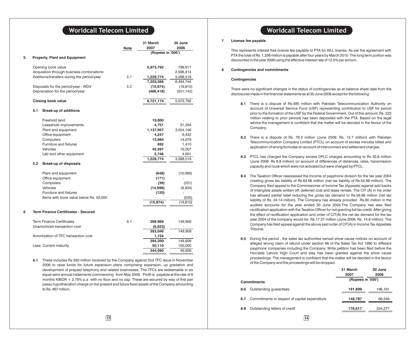|    |     |                                                                                         |      | 31 March          | <b>30 June</b> |
|----|-----|-----------------------------------------------------------------------------------------|------|-------------------|----------------|
|    |     |                                                                                         | Note | 2007              | 2006           |
|    |     |                                                                                         |      | (Rupees in '000') |                |
| 5. |     | <b>Property, Plant and Equipment</b>                                                    |      |                   |                |
|    |     | Opening book value                                                                      |      | 5,973,792         | 799,911        |
|    |     | Acquisition through business combinations                                               |      |                   | 2,596,314      |
|    |     | Additions/transfers during the period/year                                              | 5.1  | 1,229,774         | 3,098,519      |
|    |     |                                                                                         |      | 7,203,566         | 6,494,744      |
|    |     | Disposals for the period/year - WDV                                                     | 5.2  | (15, 974)         | (19, 810)      |
|    |     | Depreciation for the period/year                                                        |      | (466, 418)        | (501, 142)     |
|    |     | <b>Closing book value</b>                                                               |      | 6,721,174         | 5,973,792      |
|    | 5.1 | <b>Break-up of additions</b>                                                            |      |                   |                |
|    |     | Freehold land                                                                           |      | 19,800            |                |
|    |     | Leasehold improvements                                                                  |      | 4,751             | 31,294         |
|    |     | Plant and equipment                                                                     |      | 1,137,957         | 3,024,106      |
|    |     | Office equipment                                                                        |      | 4,247             | 6,422          |
|    |     | Computers                                                                               |      | 13,984            | 14,679         |
|    |     | Furniture and fixtures                                                                  |      | 692               | 1,410          |
|    |     | <b>Vehicles</b>                                                                         |      | 45,597            | 16,007         |
|    |     | Lab and other equipment                                                                 |      | 2,746             | 4,601          |
|    |     |                                                                                         |      | 1,229,774         | 3,098,519      |
|    | 5.2 | <b>Break-up of disposals</b>                                                            |      |                   |                |
|    |     | Plant and equipment                                                                     |      | (648)             | (10,090)       |
|    |     | Office equipment                                                                        |      | (171)             |                |
|    |     | Computers                                                                               |      | (39)              | (251)          |
|    |     | Vehicles                                                                                |      | (14,996)          | (8,934)        |
|    |     | Furniture and fixtures                                                                  |      | (120)             |                |
|    |     | Items with book value below Rs. 50,000                                                  |      |                   | (535)          |
|    |     |                                                                                         |      | (15, 974)         | (19, 810)      |
| 6  |     | <b>Term Finance Certificates - Secured</b>                                              |      |                   |                |
|    |     | <b>Term Finance Certificates</b>                                                        | 6.1  | 399,969           | 149,909        |
|    |     | Unamortized transaction cost                                                            |      | (6,923)           |                |
|    |     |                                                                                         |      | 393,046           | 149,909        |
|    |     | Amortization of TFC transaction cost                                                    |      | 1,154             |                |
|    |     |                                                                                         |      | 394,200           | 149,909        |
|    |     | Less: Current maturity                                                                  |      | 50,110            | 100,000        |
|    |     |                                                                                         |      | 344,090           | 49,909         |
|    | 6.1 | These includes Rs 350 million received by the Company against 2nd TFC issue in November |      |                   |                |

2006 to raise funds for future expansion plans comprising expansion, up gradation and development of prepaid telephony and related businesses. The TFCs are redeemable in six equal semi annual instalments commencing from May 2009. Profit is payable at the rate of 6 months KIBOR + 2.75% p.a with no floor and no cap. These are secured by way of first pari passu hypothecation charge on the present and future fixed assets of the Company amounting to Rs. 467 million.

# **Worldcall Telecom Limited Worldcall Telecom Limited**

### **7 License fee payable**

This represents interest free license fee payable to PTA for WLL license. As per the agreement with PTA the total of Rs. 1,206 million is payable after four years by March 2010. The long term portion was discounted in the year 2006 using the effective interest rate of 12.5% per annum.

### **8 Contingencies and commitments**

### **Contingencies**

There were no significant changes in the status of contingencies as at balance sheet date from the disclosures made in the financial statements as at 30 June 2006 except for the following:

- **8.1** There is a dispute of Rs.480 million with Pakistan Telecommunication Authority on account of Universal Service Fund (USF) representing contribution to USF for period prior to the formation of the USF by the Federal Government. Out of this amount, Rs. 223 million relating to prior periods has been deposited with the PTA. Based on the legal advice the management is confident that the matter will be decided in the favour of the Company.
- **8.2** There is a dispute of Rs. 78.3 million (June 2006: Rs. 13.7 million) with Pakistan Telecommunication Company Limited (PTCL) on account of excess minutes billed and application of wrong formulae on account of interconnect and settlement charges.
- **8.3** PTCL has charged the Company excess DPLC charges amounting to Rs 33.6 million (June 2006: Rs 6.8 million) on account of differences of distances, rates, transmission capacity and route which were not activated but were charged by PTCL.
- **8.4** The Taxation Officer reassessed the Income of payphone division for the tax year 2004 creating gross tax liability of Rs.63.66 million (net tax liability of Rs.54.98 million). The Company filed appeal to the Commissioner of Income Tax (Appeals) against add backs of Intangible assets written off, deferred cost and lease rentals. The CIT (A) in his order has allowed partial relief reducing the gross tax demand to Rs.56.86 million (net tax liability of Rs. 24.14 million). The Company has already provided Rs.60 million in the audited accounts for the year ended 30 June 2004.The Company has also filed rectification application with the Taxation Officer for not granting full tax credit. After giving the effect of rectification application and order of CIT(A) the net tax demand for the tax year 2004 of the company would be Rs.17.37 million (June 2006: Rs. 14.8 million). The Company has filed appeal against the above said order of CIT(A) in Income Tax Appellate Tribunal.
- **8.5** During the period , the sales tax authorities served show cause notices on account of alleged wrong claim of refund under section 66 of the Sales Tax Act 1990 to different payphone companies including the Company. Write petition has been filed before the Hon'able Lahore High Court and stay has been granted against the show cause proceedings. The management is confident that the matter will be decided in the favour of the Company and the proceedings will be dropped.

**31 March**

**30 June**

|                    |                                               | JI MAI UI<br>2007 | ou uure<br>2006 |
|--------------------|-----------------------------------------------|-------------------|-----------------|
| <b>Commitments</b> |                                               | (Rupees in '000') |                 |
| 8.6                | Outstanding quarantees                        | 191,699           | 196,161         |
| 8.7                | Commitments in respect of capital expenditure | 148.787           | 66.349          |
| 8.8                | Outstanding letters of credit                 | 176,617           | 324,277         |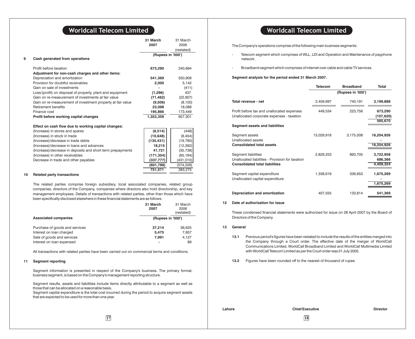|                                                             | 31 March          | 31 March   |
|-------------------------------------------------------------|-------------------|------------|
|                                                             | 2007              | 2006       |
|                                                             |                   | (restated) |
|                                                             | (Rupees in '000') |            |
| Cash generated from operations                              |                   |            |
| Profit before taxation                                      | 673,290           | 240,694    |
| Adjustment for non-cash charges and other items:            |                   |            |
| Depreciation and amortization                               | 541,369           | 550,909    |
| Provision for doubtful receivables                          | 2,000             | 5.142      |
| Gain on sale of investments                                 |                   | (411)      |
| Loss/(profit) on disposal of property, plant and equipment  | (1,296)           | 437        |
| Gain on re-measurement of investments at fair value         | (71, 462)         | (22, 907)  |
| Gain on re-measurement of investment property at fair value | (9,506)           | (8, 100)   |
| <b>Retirement benefits</b>                                  | 23,098            | 18,088     |
| Finance cost                                                | 195,866           | 173,449    |
| Profit before working capital changes                       | 1,353,359         | 957,301    |
| Effect on cash flow due to working capital changes:         |                   |            |
| (Increase) in stores and spares                             | (6, 514)          | (448)      |
| (Increase) in stock in trade                                | (10, 648)         | (9, 454)   |
| (Increase)/decrease in trade debts                          | (135, 431)        | (19,790)   |
| (Increase)/decrease in loans and advances                   | 18,215            | (12, 392)  |
| (Increase)/decrease in deposits and short term prepayments  | 41,721            | (35, 738)  |
| (Increase) in other receivables                             | (171, 354)        | (65, 194)  |
| Decrease in trade and other payables                        | (337, 777)        | (431, 010) |
|                                                             | (601, 788)        | (574, 026) |
|                                                             | 751,571           | 383,275    |
| <b>Related party transactions</b>                           |                   |            |
|                                                             |                   |            |

The related parties comprise foreign subsidiary, local associated companies, related group companies, directors of the Company, companies where directors also hold directorship, and key management employees. Details of transactions with related parties, other than those which have been specifically disclosed elsewhere in these financial statements are as follows:

|                                                                                                                       | 31 March<br>2007                           | 31 March<br>2006<br>(restated) |
|-----------------------------------------------------------------------------------------------------------------------|--------------------------------------------|--------------------------------|
| <b>Associated companies</b>                                                                                           | (Rupees in '000')                          |                                |
| Purchase of goods and services<br>Interest on loan charged<br>Sale of goods and services<br>Interest on loan expensed | 37,214<br>5.475<br>7.991<br>$\blacksquare$ | 36,625<br>7,657<br>4,127<br>89 |

All transactions with related parties have been carried out on commercial terms and conditions.

### **11 Segment reporting**

Segment information is presented in respect of the Company's business. The primary format, business segment, is based on the Company's management reporting structure.

Segment results, assets and liabilities include items directly attributable to a segment as well as those that can be allocated on a reasonable basis.

Segment capital expenditure is the total cost incurred during the period to acquire segment assets that are expected to be used for more than one year.

The Company's operations comprise of the following main business segments:

- Telecom segment which comprises of WLL, LDI and Operation and Maintenance of payphone network.
- Broadband segment which comprises of internet over cable and cable TV services.

**Segment analysis for the period ended 31 March 2007.**

|                                                                                                                                  | Telecom    | <b>Broadband</b>  | Total                           |
|----------------------------------------------------------------------------------------------------------------------------------|------------|-------------------|---------------------------------|
|                                                                                                                                  |            | (Rupees in '000') |                                 |
| Total revenue - net                                                                                                              | 2,459,697  | 740,191           | 3,199,888                       |
| Profit before tax and unallocated expenses<br>Unallocated corporate expenses - taxation<br><b>Segment assets and liabilities</b> | 449,534    | 223,756           | 673,290<br>(107,620)<br>565,670 |
|                                                                                                                                  |            |                   |                                 |
| Segment assets<br>Unallocated assets                                                                                             | 13,029,918 | 3,175,008         | 16,204,926                      |
| <b>Consolidated total assets</b>                                                                                                 |            |                   | 16,204,926                      |
| Segment liabilities                                                                                                              | 2,829,253  | 893,705           | 3,722,958                       |
| Unallocated liabilities - Provision for taxation<br><b>Consolidated total liabilities</b>                                        |            |                   | 686,366<br>4,409,324            |
| Segment capital expenditure                                                                                                      | 1,338,616  | 336,653           | 1,675,269                       |
| Unallocated capital expenditure                                                                                                  |            |                   |                                 |
|                                                                                                                                  |            |                   | 1,675,269                       |
| Depreciation and amortization                                                                                                    | 407,555    | 133,814           | 541,369                         |
|                                                                                                                                  |            |                   |                                 |

### **12 Date of authorization for issue**

These condensed financial statements were authorized for issue on 28 April 2007 by the Board of Directors of the Company.

### **13 General**

31 March

**13.1** Previous period's figures have been restated to include the results of the entities merged into the Company through a Court order. The effective date of the merger of WorldCall Communications Limited, WorldCall Broadband Limited and WorldCall Multimedia Limited with WorldCall Telecom Limited as per the Court order was 01 July 2005.

**13.2** Figures have been rounded off to the nearest of thousand of rupee.

**Lahore Chief Executive Director**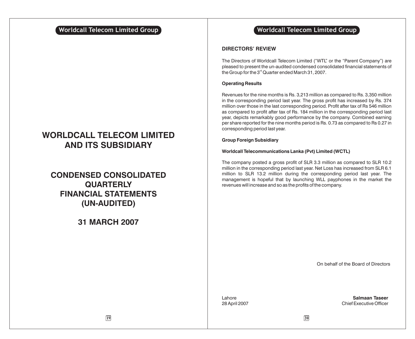# **WORLDCALL TELECOM LIMITED AND ITS SUBSIDIARY**

# **CONSOLIDATED CONDENSED QUARTERLY FINANCIAL STATEMENTS (UN-AUDITED)**

# **31 MARCH 2007**

# **Worldcall Telecom Limited Group Notationally related Worldcall Telecom Limited Group**

## **DIRECTORS' REVIEW**

The Directors of Worldcall Telecom Limited ("WTL" or the "Parent Company") are pleased to present the un-audited condensed consolidated financial statements of the Group for the  $3<sup>rd</sup>$  Quarter ended March 31, 2007.

## **Operating Results**

Revenues for the nine months is Rs. 3,213 million as compared to Rs. 3,350 million in the corresponding period last year. The gross profit has increased by Rs. 374 million over those in the last corresponding period. Profit after tax of Rs 546 million as compared to profit after tax of Rs. 184 million in the corresponding period last year, depicts remarkably good performance by the company. Combined earning per share reported for the nine months period is Rs. 0.73 as compared to Rs 0.27 in corresponding period last year.

## **Group Foreign Subsidiary**

## **Worldcall Telecommunications Lanka (Pvt) Limited (WCTL)**

The company posted a gross profit of SLR 3.3 million as compared to SLR 10.2 million in the corresponding period last year. Net Loss has increased from SLR 6.1 million to SLR 13.2 million during the corresponding period last year. The management is hopeful that by launching WLL payphones in the market the revenues will increase and so as the profits of the company.

On behalf of the Board of Directors

Lahore **Salmaan Taseer** 28 April 2007 Chief Executive Officer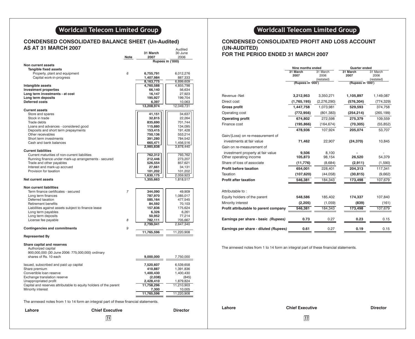# **Worldcall Telecom Limited Group**

### **CONDENSED CONSOLIDATED BALANCE SHEET AS AT 31 MARCH 2007** Audited

|                                                                   |                | 31 March             | 30 June              |
|-------------------------------------------------------------------|----------------|----------------------|----------------------|
|                                                                   | Note           | 2007                 | 2006                 |
| Non current assets                                                |                |                      | Rupees in ('000)     |
| <b>Tangible fixed assets</b>                                      |                |                      |                      |
| Property, plant and equipment                                     | 6              | 6,755,791            | 6,012,276            |
| Capital work-in-progress                                          |                | 1,407,984            | 887,333              |
|                                                                   |                | 8,163,775            | 6,899,609            |
| Intangible assets                                                 |                | 4,760,588            | 4,855,798            |
| <b>Investment properties</b>                                      |                | 66,140               | 56,634               |
| Long term investments - at cost                                   |                | 16,147               | 27,923               |
| Long term deposits                                                |                | 195,927              | 199,704              |
| <b>Deferred costs</b>                                             |                | 6,397                | 10,063               |
|                                                                   |                | 13,208,974           | 12,049,731           |
| <b>Current assets</b>                                             |                |                      |                      |
| Store and spares<br>Stock in trade                                |                | 41,151<br>32,815     | 34,637<br>22,264     |
| Trade debts                                                       |                | 835,690              | 701,744              |
| Loans and advances - considered good                              |                | 115,880              | 134,095              |
| Deposits and short term prepayments                               |                | 153,415              | 191,428              |
| Other receivables                                                 |                | 750,136              | 553,214              |
| Short term investments                                            |                | 391,280              | 784,542              |
| Cash and bank balances                                            |                | 665,471              | 1,456,516            |
|                                                                   |                | 2,985,838            | 3,878,440            |
| <b>Current liabilities</b>                                        |                |                      |                      |
| Current maturities of non-current liabilities                     |                | 762,312              | 793,762              |
| Running finance under mark-up arrangements - secured              |                | 212,446              | 273,207              |
| Trade and other payables                                          |                | 526,554              | 857,621              |
| Interest and mark-up accrued                                      |                | 27,661               | 34,131               |
| Provision for taxation                                            |                | 101,202<br>1,630,175 | 101,202<br>2,059,923 |
| Net current assets                                                |                | 1,355,663            | 1,818,517            |
|                                                                   |                |                      |                      |
| <b>Non current liabilities</b>                                    |                |                      |                      |
| Term finance certificates - secured                               | $\overline{7}$ | 344,090              | 49,909               |
| Long term finances                                                |                | 787,970              | 1,085,017            |
| Deferred taxation                                                 |                | 585,164              | 477,545              |
| <b>Retirement benefits</b>                                        |                | 84,592               | 70,103               |
| Liabilities against assets subject to finance lease               |                | 157,836              | 175,624              |
| Long term payables                                                |                | 6,326                | 6,261                |
| Long term deposits                                                |                | 50,952               | 77,214               |
| License fee payable                                               | 8              | 782,111              | 705,667              |
| <b>Contingencies and commitments</b>                              | 9              | 2,799,041            | 2,647,340            |
|                                                                   |                | 11,765,596           | 11,220,908           |
| <b>Represented By</b>                                             |                |                      |                      |
| Share capital and reserves                                        |                |                      |                      |
| Authorized capital                                                |                |                      |                      |
| 900,000,000 (30 June 2006: 775,000,000) ordinary                  |                |                      |                      |
| shares of Rs. 10 each                                             |                | 9,000,000            | 7,750,000            |
|                                                                   |                |                      |                      |
| Issued, subscribed and paid up capital                            |                | 7,520,607            | 6,539,658            |
| Share premium                                                     |                | 410,887              | 1,391,836            |
| Convertible loan reserve                                          |                | 1,400,430            | 1,400,430            |
| Exchange translation reserve                                      |                | (2,038)              | (845)                |
| Unappropriated profit                                             |                | 2,428,410            | 1,879,824            |
| Capital and reserves attributable to equity holders of the parent |                | 11,758,296           | 11,210,903           |
| Minority interest                                                 |                | 7,300                | 10,005               |
|                                                                   |                | 11,765,596           | 11,220,908           |
|                                                                   |                |                      |                      |

The annexed notes from 1 to 14 form an integral part of these financial statements.

| Lahore | <b>Chief Executive</b> | <b>Director</b><br>. | Lanore | опіег схесі              |
|--------|------------------------|----------------------|--------|--------------------------|
|        | 21                     |                      |        | $\overline{\mathcal{L}}$ |

# **Worldcall Telecom Limited Group**

## **CONDENSED CONSOLIDATED PROFIT AND LOSS ACCOUNT (UN-AUDITED) FOR THE PERIOD ENDED 31 MARCH 2007**

## **Nine months ended**<br>31 March 31 March 31 March 31 March 31 March 1 March 31 March **31 March 31 March 31 March** 31 March 31 March 32006 **2007** 2006 **2007** 2006 (restated)<br>
(restated) (Rupees in '000') **(Rupees in '000') (Rupees in '000')** Revenue -Net **3,212,953** 3,350,271 **1,105,897** 1,149,087 Direct cost **(1,765,195)** (2,276,290) **(576,304)** (774,329) **Gross profit 1,447,758** 1,073,981 **529,593** 374,758 Operating cost **(772,956)** (801,383) **(254,214)** (265,199) **Operating profit 674,802** 272,598 **275,379** 109,559 Finance cost **(195,866)** (164,674) **(70,305)** (55,852) **478,936** 107,924 **205,074** 53,707 Gain/(Loss) on re-measurement of investments at fair value **71,462** 22,907 **(24,370)** 10,845 Gain on re-measurement of investment property at fair value **9,506** 8,100 **-** - Other operating income Share of loss of associate **(11,776)** (8,684) **(2,911)** (1,590) **Profit before taxation 654,001 228,401 204,313** 117,341 Taxation **(107,620)** (44,058) **(30,815)** (9,662) **Profit after taxation 546,381** 184,343 173,498 107,679 Attributable to : Equity holders of the parent **548,586** 185,402 **174,337** 107,840 Minority interest **(2,205)** (1,059) **(839)** (161) **Profit attributable to parent company**  $\overline{546,381}$  $\overline{184,343}$  $\overline{173,498}$  $\overline{107,679}$ **Earnings per share - basic** *(Rupees)* **0.73** 0.27 **0.23** 0.15 **Earnings per share - diluted** *(Rupees)* **0.61** 0.27 **0.19** 0.15

The annexed notes from 1 to 14 form an integral part of these financial statements.

**Lahore Chief Executive Director**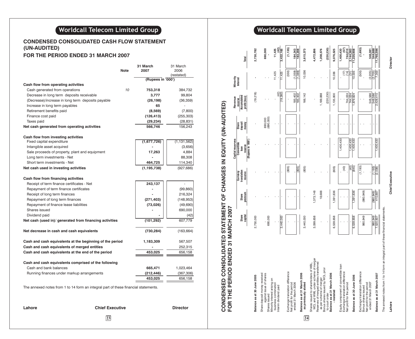# **Worldcall Telecom Limited Group**

# **CONDENSED CONSOLIDATED CASH FLOW STATEMENT (UN-AUDITED)**

# **FOR THE PERIOD ENDED 31 MARCH 2007**

|                                                                                     |             | 31 March          | 31 March           |
|-------------------------------------------------------------------------------------|-------------|-------------------|--------------------|
|                                                                                     | <b>Note</b> | 2007              | 2006<br>(restated) |
|                                                                                     |             | (Rupees in '000') |                    |
| Cash flow from operating activities                                                 |             |                   |                    |
| Cash generated from operations                                                      | 10          | 753,318           | 384,732            |
| Decrease in long term deposits receivable                                           |             | 3,777             | 99,804             |
| (Decrease)/increase in long term deposits payable                                   |             | (26, 198)         | (36, 359)          |
| Increase in long term payables                                                      |             | 65                |                    |
| Retirement benefits paid                                                            |             | (8,569)           | (7,800)            |
| Finance cost paid                                                                   |             | (126, 413)        | (255, 303)         |
| Taxes paid                                                                          |             | (29, 234)         | (28, 831)          |
| Net cash generated from operating activities                                        |             | 566,746           | 156,243            |
|                                                                                     |             |                   |                    |
| Cash flow from investing activities<br>Fixed capital expenditure                    |             | (1,677,726)       | (1, 131, 562)      |
| Intangible asset acquired                                                           |             |                   | (3,656)            |
| Sale proceeds of property, plant and equipment                                      |             | 17,263            | 4,884              |
| Long term investments - Net                                                         |             |                   | 88,308             |
| Short term investments - Net                                                        |             | 464,725           | 114,340            |
| Net cash used in investing activities                                               |             | (1, 195, 738)     | (927, 686)         |
|                                                                                     |             |                   |                    |
| Cash flow from financing activities                                                 |             |                   |                    |
| Receipt of term finance certificates - Net                                          |             | 243,137           |                    |
| Repayment of term finance certificates                                              |             |                   | (99, 860)          |
| Receipt of long term finances                                                       |             |                   | 216,324            |
| Repayment of long term finances                                                     |             | (271, 403)        | (148, 953)         |
| Repayment of finance lease liabilities                                              |             | (73,026)          | (49,690)           |
| Shares issued                                                                       |             |                   | 690,000            |
| Dividend paid                                                                       |             |                   | (42)               |
| Net cash (used in)/ generated from financing activities                             |             | (101, 292)        | 607,779            |
| Net decrease in cash and cash equivalents                                           |             | (730, 284)        | (163, 664)         |
| Cash and cash equivalents at the beginning of the period                            |             | 1,183,309         | 567,507            |
| Cash and cash equivalents of merged entities                                        |             |                   | 252,315            |
| Cash and cash equivalents at the end of the period                                  |             | 453,025           | 656,158            |
| Cash and cash equivalents comprised of the following                                |             |                   |                    |
| Cash and bank balances                                                              |             | 665,471           | 1,023,464          |
| Running finances under markup arrangements                                          |             | (212, 446)        | (367, 306)         |
|                                                                                     |             | 453,025           | 656,158            |
| The annexed notes from 1 to 14 form an integral part of these financial statements. |             |                   |                    |

**Lahore Chief Executive Director**

**23 24**

# **Worldcall Telecom Limited Group**

| CONDENSED CONSOLIDATED STATEMENT OF CHANGES IN EQUITED)<br>FOR THE PERIOD ENDED 31 MARCH 2007                          |                  |                  |                                   |                                                    |                                  |                                         |                     |                                    |
|------------------------------------------------------------------------------------------------------------------------|------------------|------------------|-----------------------------------|----------------------------------------------------|----------------------------------|-----------------------------------------|---------------------|------------------------------------|
|                                                                                                                        |                  |                  |                                   | Capital reserves                                   |                                  | Revenue                                 | Minority            |                                    |
|                                                                                                                        | Share<br>capital | premium<br>Share | ranslation<br>Currency<br>reserve | (Rupees in '000'<br>Convertible<br>reserve<br>loan | money<br><b>Share</b><br>deposit | Accumulated<br>profit/(loss)<br>reserve | Interest            | Total                              |
| Balance as at 30 June 2005                                                                                             | 2,750,000        |                  |                                   |                                                    |                                  | (19,218)                                |                     | 2,730,782                          |
| Share deposit money received<br>against issue of shares<br>Shares issued                                               | 690,000          |                  |                                   |                                                    | 690,000<br>(690,000)             |                                         |                     | 690,000                            |
| Minority interest arising on<br>business combination<br>Interim dividend paid                                          | 3,440,000        |                  |                                   |                                                    |                                  | (19, 260)                               | 11,425<br>11,425    | $\frac{(42)}{3,432,165}$<br>11,425 |
| Exchange translation difference<br>Net profit for the period                                                           |                  |                  | (805)                             |                                                    |                                  |                                         | (330)               | (1, 135)                           |
| Balance as at 31 March 2006<br>ended 31 March 2006                                                                     |                  |                  | (805)                             |                                                    |                                  | 185,402<br>185,402                      | (1,059)<br>(1, 389) | 184,343<br>183,208                 |
| as previously stated                                                                                                   | 3,440,000        |                  | (805)                             |                                                    |                                  | 166,142                                 | 10,036              | 3,615,373                          |
| WCL and WML under scheme of merger<br>Reserves of merged entities transferred<br>Shares issued to shareholders of WBL, | 3,099,658        | 1,373,148        |                                   |                                                    |                                  |                                         |                     | 4,472,806                          |
| Bonus shares issued by WCL prior<br>as per scheme of merger                                                            |                  | 18,688           |                                   |                                                    |                                  | 1,189,888                               |                     | 1,208,576                          |
| Balance as at 31 March 2006<br>to court order                                                                          |                  |                  |                                   |                                                    |                                  | (220, 230)                              |                     | (220, 230)                         |
| -restated                                                                                                              | 6,539,658        | 1,391,836        | (805)                             |                                                    |                                  | 1,135,800                               | 10,036              | 9,076,525                          |
| Equity component of convertible loan<br>Exchange translation difference<br>Net profit for the period                   |                  |                  | (40)                              | 1,400,430                                          |                                  | 744,024                                 | <b>AN</b>           | (57)<br>744,010<br>1,400,430       |
| Balance as at 30 June 2006                                                                                             | 6,539,658        | 1,391,836        | (845)<br>$\frac{40}{2}$           | 1,400,430<br>1,400,430                             |                                  | 744,024<br>1,879,824                    | 10,005<br>5         | 2,144,383<br>11,220,908            |
| Exchange translation difference<br>Net profit for the period<br>Bonus shares issued                                    | 980,949          | (980, 949)       | (1, 193)                          |                                                    |                                  |                                         | (500)               | (1,693)                            |
| ended 31 March 2007                                                                                                    |                  | (980, 949)       | 1,193                             |                                                    |                                  | 548,586<br>548,586                      | (2,205)<br>(2,705)  | 546,381                            |
| Balance as at 31 March 2007                                                                                            | 880,949          | 410,887          | (2,038)                           | 1,400,430                                          |                                  | 2,428,410                               | $\frac{300}{2}$     | 544,688<br>11,765,596              |
| The annexed notes from 1 to 14 form an integral part of these financial statements.                                    |                  |                  |                                   |                                                    |                                  |                                         |                     |                                    |
| Lahore                                                                                                                 |                  |                  | <b>Chief Executive</b>            |                                                    |                                  |                                         |                     | Director                           |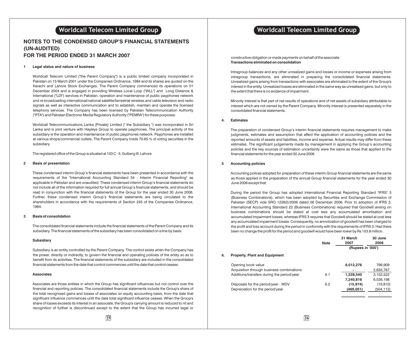## **NOTES TO THE CONDENSED GROUP'S FINANCIAL STATEMENTS (UN-AUDITED) FOR THE PERIOD ENDED 31 MARCH 2007**

### **1 Legal status and nature of business**

Worldcall Telecom Limited ("the Parent Company") is a public limited company incorporated in Pakistan on 15 March 2001 under the Companies Ordinance, 1984 and its shares are quoted on the Karachi and Lahore Stock Exchanges. The Parent Company commenced its operations on 01 December 2004 and is engaged in providing Wireless Local Loop ("WLL") and Long Distance & International ("LDI") services in Pakistan, operation and maintenance of public payphones network and re-broadcasting international/national satellite/terrestrial wireless and cable television and radio signals as well as interactive communication and to establish, maintain and operate the licensed telephony services. The Company has been licensed by Pakistan Telecommunication Authority ("PTA") and Pakistan Electronic Media Regulatory Authority ("PEMRA") for these purposes.

Worldcall Telecommunications Lanka (Private) Limited (" the Subsidiary ") was incorporated in Sri Lanka and is joint venture with Hayleys Group to operate payphones. The principal activity of the subsidiary is the operation and maintenance of public payphones network. Payphones are installed at various shops/commercial outlets. The Parent Company holds 70.65 % of voting securities in the subsidiary.

The registered office of the Group is situated at 103 C - II, Gulberg III, Lahore

### **2 Basis of presentation**

These condensed interim Group's financial statements have been presented in accordance with the requirements of the "International Accounting Standard 34 - Interim Financial Reporting" as applicable in Pakistan and are unaudited. These condensed interim Group's financial statements do not include all of the information required for full annual Group's financial statements, and should be read in conjunction with the financial statements of the Group for the year ended 30 June 2006. Further, these condensed interim Group's financial statements are being circulated to the shareholders in accordance with the requirements of Section 245 of the Companies Ordinance, 1984.

### **3 Basis of consolidation**

The consolidated financial statements include the financial statements of the Parent Company and its subsidiary. The financial statements of the subsidiary has been consolidated on a line by basis.

### **Subsidiary**

Subsidiary is an entity controlled by the Parent Company. The control exists when the Company has the power, directly or indirectly, to govern the financial and operating policies of the entity so as to benefit from its activities. The financial statements of the subsidiary are included in the consolidated financial statements from the date that control commences until the date that control ceases.

### **Associates**

Associates are those entities in which the Group has significant influences but not control over the financial and reporting policies. The consolidated financial statements include the Group's share of the total recognized gains and losses of associates on equity accounting basis, from the date that significant influence commences until the date total significant influence ceases. When the Group's share of losses exceeds its interest in an associate, the Group's carrying amount is reduced to nil and recognition of further is discontinued except to the extent that the Group has incurred legal or

constructive obligation or made payments on behalf of the associate. **Transactions eliminated on consolidation**

Intragroup balances and any other unrealized gains and losses or income or expenses arising from intragroup transactions, are eliminated in preparing the consolidated financial statements. Unrealized gains arising from transactions with associates are eliminated to the extent of the Group's interest in the entity. Unrealized losses are eliminated in the same way as unrealised gains, but only to the extent that there is no evidence of impairment.

Minority interest is that part of net results of operations and of net assets of subsidiary attributable to interest which are not owned by the Parent Company. Minority interest is presented separately in the consolidated financial statements.

### **4. Estimates**

The preparation of condensed Group's interim financial statements requires management to make judgments, estimates and assumption that affect the application of accounting policies and the reported amounts of assets and liabilities, income and expense. Actual results may differ from these estimates. The significant judgements made by management in applying the Group's accounting policies and the key sources of estimation uncertainty were the same as those that applied to the financial statements for the year ended 30 June 2006.

### **5 Accounting policies**

Accounting polices adopted for preparation of these interim Group financial statements are the same as those applied in the preparation of the annual Group financial statements for the year ended 30 June 2006 except that:

During the period the Group has adopted International Financial Reporting Standard "IFRS" 3 (Business Combinations), which has been adopted by Securities and Exchange Commission of Pakistan (SECP) vide SRO 1228(I)/2006 dated 06 December 2006. Prior to adoption of IFRS 3, International Accounting Standard 22 (Business Combinations) required that Goodwill arising on business combinations should be stated at cost less any accumulated amortisation and accumulated impairment losses, whereas IFRS 3 requires that Goodwill should be stated at cost less any accumulated impairment losses. Consequently, no amortization of goodwill has been charged to the profit and loss account during the period in conformity with the requirements of IFRS 3. Had there been no change the profit for the period and goodwill would have been lower by Rs 103.8 million.

|    |                                            | <b>Note</b> | 31 March<br>2007  | 30 June<br>2006 |
|----|--------------------------------------------|-------------|-------------------|-----------------|
|    |                                            |             | (Rupees in '000') |                 |
| 6. | <b>Property, Plant and Equipment</b>       |             |                   |                 |
|    | Opening book value                         |             | 6,012,276         | 799,909         |
|    | Acquisition through business combinations  |             |                   | 2.633.767       |
|    | Additions/transfers during the period/year | 6.1         | 1,228,540         | 3,102,522       |
|    |                                            |             | 7.240.816         | 6,536,198       |
|    | Disposals for the period/year - WDV        | 6.2         | (15, 974)         | (19, 810)       |
|    | Depreciation for the period/year           |             | (469,051)         | (504,112)       |
|    |                                            |             |                   |                 |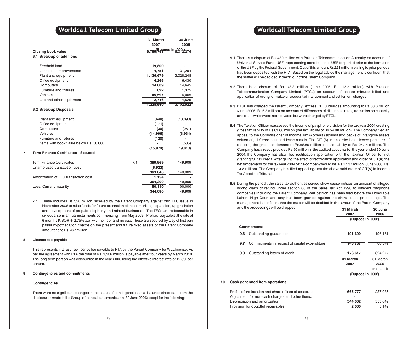|   |                                                        |     | 31 March                   | 30 June   |
|---|--------------------------------------------------------|-----|----------------------------|-----------|
|   |                                                        |     | 2007                       | 2006      |
|   | <b>Closing book value</b><br>6.1 Break-up of additions |     | 6,755,791 ees in 6,012,276 |           |
|   |                                                        |     |                            |           |
|   | Freehold land                                          |     | 19,800                     |           |
|   | Leasehold improvements                                 |     | 4,751                      | 31,294    |
|   | Plant and equipment                                    |     | 1,136,679                  | 3,028,248 |
|   | Office equipment                                       |     | 4,266                      | 6,430     |
|   | Computers                                              |     | 14,009                     | 14,645    |
|   | Furniture and fixtures                                 |     | 692                        | 1,375     |
|   | Vehicles                                               |     | 45,597                     | 16,005    |
|   | Lab and other equipment                                |     | 2,746                      | 4,525     |
|   |                                                        |     | 1,228,540                  | 3,102,522 |
|   | 6.2 Break-up Disposals                                 |     |                            |           |
|   | Plant and equipment                                    |     | (648)                      | (10,090)  |
|   | Office equipment                                       |     | (171)                      |           |
|   | Computers                                              |     | (39)                       | (251)     |
|   | Vehicles                                               |     | (14,996)                   | (8,934)   |
|   | Furniture and fixtures                                 |     | (120)                      |           |
|   | Items with book value below Rs. 50,000                 |     |                            | (535)     |
|   |                                                        |     | (15, 974)                  | (19, 810) |
| 7 | <b>Term Finance Certificates - Secured</b>             |     |                            |           |
|   | <b>Term Finance Certificates</b>                       | 7.1 | 399,969                    | 149,909   |
|   | Unamortized transaction cost                           |     | (6,923)                    |           |
|   |                                                        |     | 393,046                    | 149,909   |
|   | Amortization of TFC transaction cost                   |     | 1,154                      |           |
|   |                                                        |     | 394,200                    | 149,909   |
|   | Less: Current maturity                                 |     | 50,110                     | 100,000   |
|   |                                                        |     | 344,090                    | 49,909    |
|   |                                                        |     |                            |           |

**7.1** These includes Rs 350 million received by the Parent Company against 2nd TFC issue in November 2006 to raise funds for future expansion plans comprising expansion, up gradation and development of prepaid telephony and related businesses. The TFCs are redeemable in six equal semi annual instalments commencing from May 2009. Profit is payable at the rate of 6 months KIBOR + 2.75% p.a with no floor and no cap. These are secured by way of first pari passu hypothecation charge on the present and future fixed assets of the Parent Company amounting to Rs. 467 million.

### **8 License fee payable**

This represents interest free license fee payable to PTA by the Parent Company for WLL license. As per the agreement with PTA the total of Rs. 1,206 million is payable after four years by March 2010. The long term portion was discounted in the year 2006 using the effective interest rate of 12.5% per annum.

### **9 Contingencies and commitments**

### **Contingencies**

There were no significant changes in the status of contingencies as at balance sheet date from the disclosures made in the Group's financial statements as at 30 June 2006 except for the following:

# **Worldcall Telecom Limited Group <b>Telecom Number of Series Constants (Series Worldcall Telecom Limited Group**

- **9.1** There is a dispute of Rs. 480 million with Pakistan Telecommunication Authority on account of Universal Service Fund (USF) representing contribution to USF for period prior to the formation of the USF by the Federal Government. Out of this amount Rs 223 million relating to prior periods has been deposited with the PTA. Based on the legal advice the management is confident that the matter will be decided in the favour of the Parent Company.
- **9.2** There is a dispute of Rs. 78.3 million (June 2006: Rs. 13.7 million) with Pakistan Telecommunication Company Limited (PTCL) on account of excess minutes billed and application of wrong formulae on account of interconnect and settlement charges.
- **9.3** PTCL has charged the Parent Company excess DPLC charges amounting to Rs 33.6 million (June 2006: Rs 6.8 million) on account of differences of distances, rates, transmission capacity and route which were not activated but were charged by PTCL.
- **9.4** The Taxation Officer reassessed the income of payphone division for the tax year 2004 creating gross tax liability of Rs.63.66 million (net tax liability of Rs.54.98 million). The Company filed an appeal to the Commissioner of Income Tax (Appeals) against add backs of Intangible assets written off, deferred cost and lease rentals. The CIT (A) in his order has allowed partial relief reducing the gross tax demand to Rs.56.86 million (net tax liability of Rs. 24.14 million). The Company has already provided Rs.60 million in the audited accounts for the year ended 30 June 2004.The Company has also filed rectification application with the Taxation Officer for not granting full tax credit. After giving the effect of rectification application and order of CIT(A) the net tax demand for the tax year 2004 of the company would be Rs.17.37 million (June 2006: Rs. 14.8 million). The Company has filed appeal against the above said order of CIT(A) in Income Tax Appellate Tribunal.
- **9.5** During the period , the sales tax authorities served show cause notices on account of alleged wrong claim of refund under section 66 of the Sales Tax Act 1990 to different payphone companies including the Parent Company. Writ petition has been filed before the Honorable Lahore High Court and stay has been granted against the show cause proceedings. The management is confident that the matter will be decided in the favour of the Parent Company and the proceedings will be dropped.

|    |     | and the proceedings will be diopped.                  | 31 March<br>2007  | 30 June<br>2006 |
|----|-----|-------------------------------------------------------|-------------------|-----------------|
|    |     |                                                       | (Rupees in '000') |                 |
|    |     | <b>Commitments</b>                                    |                   |                 |
|    | 9.6 | Outstanding guarantees                                | 191,699           | <u> 196,161</u> |
|    | 9.7 | Commitments in respect of capital expenditure         | 148,787           | 66,349          |
|    | 9.8 | Outstanding letters of credit                         | 176,617           | 324,27          |
|    |     |                                                       | 31 March          | 31 March        |
|    |     |                                                       | 2007              | 2006            |
|    |     |                                                       |                   | (restated)      |
|    |     |                                                       | (Rupees in '000') |                 |
| 10 |     | Cash generated from operations                        |                   |                 |
|    |     | Profit before taxation and share of loss of associate | 665,777           | 237,085         |
|    |     | Adjustment for non-cash charges and other items:      |                   |                 |
|    |     | Depreciation and amortization                         | 544,002           | 553,649         |
|    |     | Provision for doubtful receivables                    | 2,000             | 5,142           |